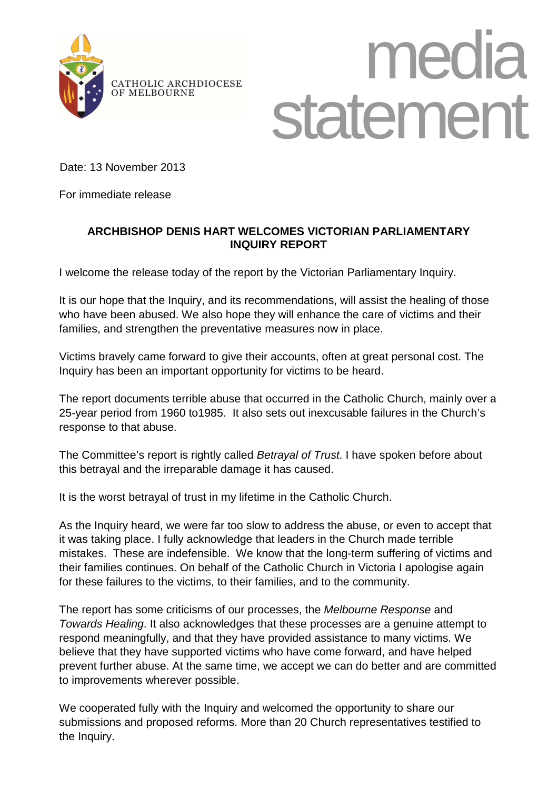

## media CATHOLIC ARCHDIOCESE State

Date: 13 November 2013

For immediate release

## **ARCHBISHOP DENIS HART WELCOMES VICTORIAN PARLIAMENTARY INQUIRY REPORT**

I welcome the release today of the report by the Victorian Parliamentary Inquiry.

It is our hope that the Inquiry, and its recommendations, will assist the healing of those who have been abused. We also hope they will enhance the care of victims and their families, and strengthen the preventative measures now in place.

Victims bravely came forward to give their accounts, often at great personal cost. The Inquiry has been an important opportunity for victims to be heard.

The report documents terrible abuse that occurred in the Catholic Church, mainly over a 25-year period from 1960 to1985. It also sets out inexcusable failures in the Church's response to that abuse.

The Committee's report is rightly called Betrayal of Trust. I have spoken before about this betrayal and the irreparable damage it has caused.

It is the worst betrayal of trust in my lifetime in the Catholic Church.

As the Inquiry heard, we were far too slow to address the abuse, or even to accept that it was taking place. I fully acknowledge that leaders in the Church made terrible mistakes. These are indefensible. We know that the long-term suffering of victims and their families continues. On behalf of the Catholic Church in Victoria I apologise again for these failures to the victims, to their families, and to the community.

The report has some criticisms of our processes, the Melbourne Response and Towards Healing. It also acknowledges that these processes are a genuine attempt to respond meaningfully, and that they have provided assistance to many victims. We believe that they have supported victims who have come forward, and have helped prevent further abuse. At the same time, we accept we can do better and are committed to improvements wherever possible.

We cooperated fully with the Inquiry and welcomed the opportunity to share our submissions and proposed reforms. More than 20 Church representatives testified to the Inquiry.